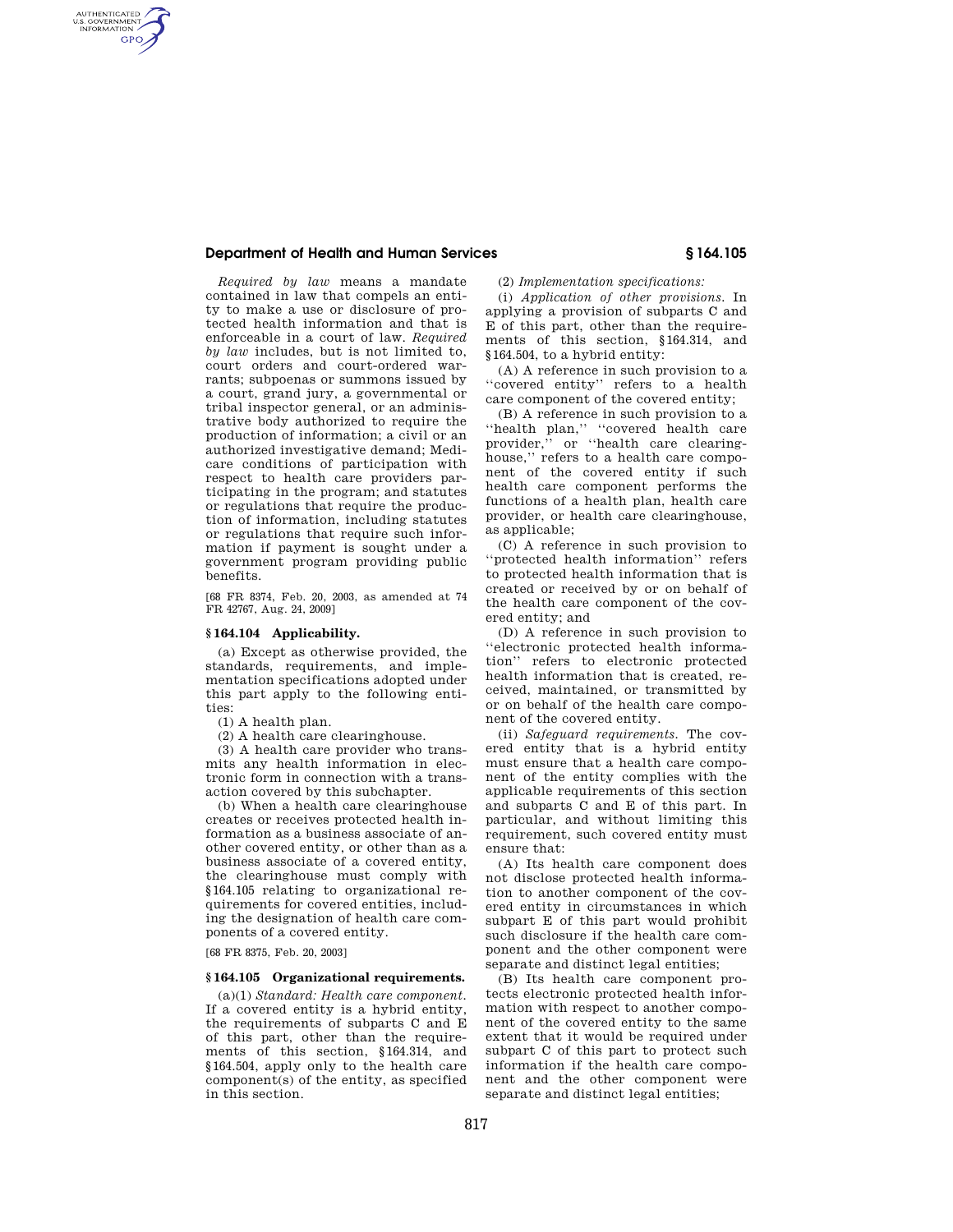#### **Department of Health and Human Services § 164.105**

AUTHENTICATED<br>U.S. GOVERNMENT<br>INFORMATION GPO

*Required by law* means a mandate contained in law that compels an entity to make a use or disclosure of protected health information and that is enforceable in a court of law. *Required by law* includes, but is not limited to, court orders and court-ordered warrants; subpoenas or summons issued by a court, grand jury, a governmental or tribal inspector general, or an administrative body authorized to require the production of information; a civil or an authorized investigative demand; Medicare conditions of participation with respect to health care providers participating in the program; and statutes or regulations that require the production of information, including statutes or regulations that require such information if payment is sought under a government program providing public benefits.

[68 FR 8374, Feb. 20, 2003, as amended at 74 FR 42767, Aug. 24, 2009]

## **§ 164.104 Applicability.**

(a) Except as otherwise provided, the standards, requirements, and implementation specifications adopted under this part apply to the following entities:

- (1) A health plan.
- (2) A health care clearinghouse.

(3) A health care provider who transmits any health information in electronic form in connection with a transaction covered by this subchapter.

(b) When a health care clearinghouse creates or receives protected health information as a business associate of another covered entity, or other than as a business associate of a covered entity, the clearinghouse must comply with §164.105 relating to organizational requirements for covered entities, including the designation of health care components of a covered entity.

[68 FR 8375, Feb. 20, 2003]

## **§ 164.105 Organizational requirements.**

(a)(1) *Standard: Health care component.*  If a covered entity is a hybrid entity, the requirements of subparts C and E of this part, other than the requirements of this section, §164.314, and §164.504, apply only to the health care  $component(s)$  of the entity, as specified in this section.

(2) *Implementation specifications:* 

(i) *Application of other provisions.* In applying a provision of subparts C and E of this part, other than the requirements of this section, §164.314, and §164.504, to a hybrid entity:

(A) A reference in such provision to a "covered entity" refers to a health care component of the covered entity;

(B) A reference in such provision to a ''health plan,'' ''covered health care provider,'' or ''health care clearinghouse,'' refers to a health care component of the covered entity if such health care component performs the functions of a health plan, health care provider, or health care clearinghouse, as applicable;

(C) A reference in such provision to 'protected health information'' refers to protected health information that is created or received by or on behalf of the health care component of the covered entity; and

(D) A reference in such provision to ''electronic protected health information'' refers to electronic protected health information that is created, received, maintained, or transmitted by or on behalf of the health care component of the covered entity.

(ii) *Safeguard requirements.* The covered entity that is a hybrid entity must ensure that a health care component of the entity complies with the applicable requirements of this section and subparts C and E of this part. In particular, and without limiting this requirement, such covered entity must ensure that:

(A) Its health care component does not disclose protected health information to another component of the covered entity in circumstances in which subpart E of this part would prohibit such disclosure if the health care component and the other component were separate and distinct legal entities;

(B) Its health care component protects electronic protected health information with respect to another component of the covered entity to the same extent that it would be required under subpart C of this part to protect such information if the health care component and the other component were separate and distinct legal entities;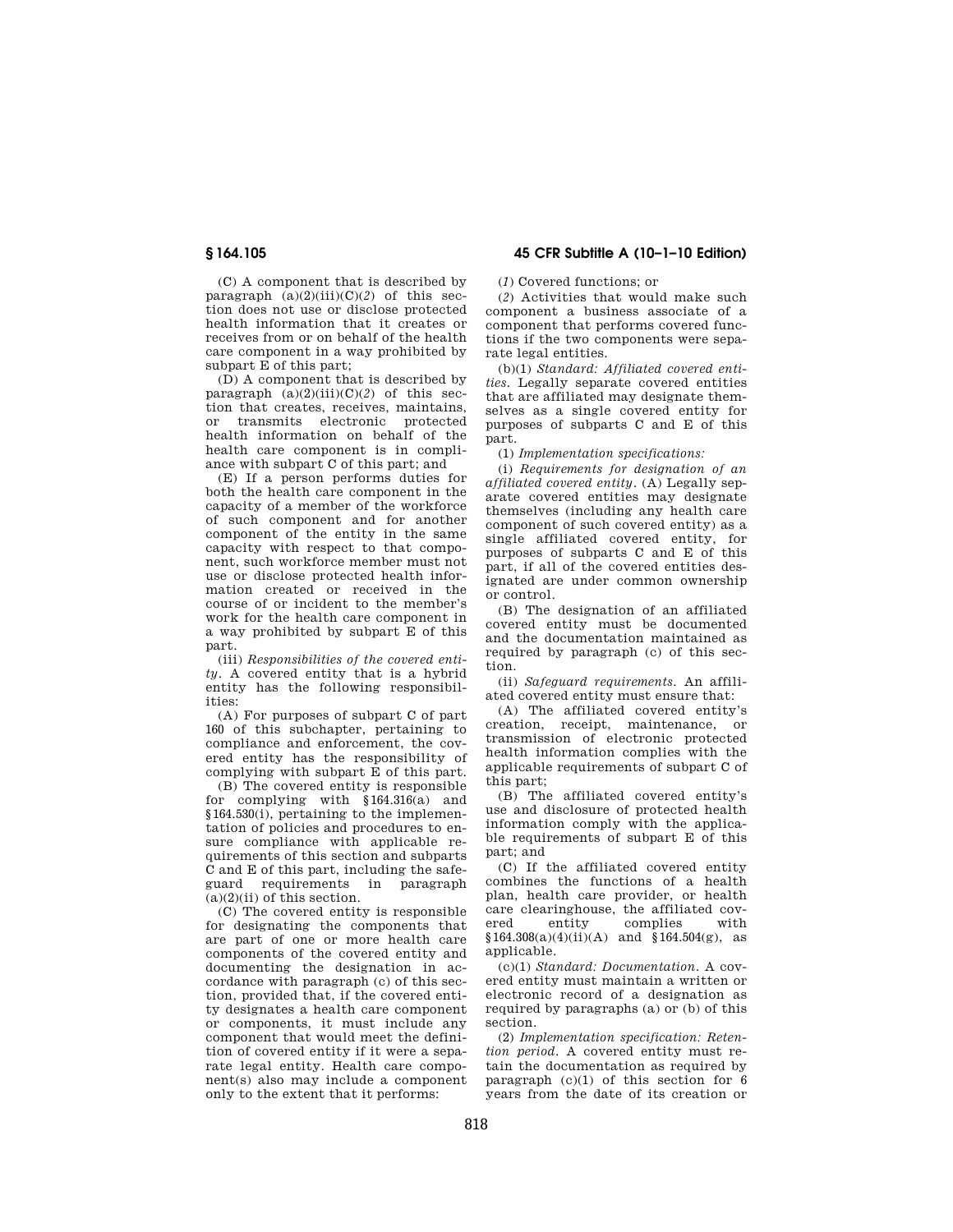(C) A component that is described by paragraph  $(a)(2)(iii)(C)(2)$  of this section does not use or disclose protected health information that it creates or receives from or on behalf of the health care component in a way prohibited by subpart E of this part;

(D) A component that is described by paragraph  $(a)(2)(iii)(C)(2)$  of this section that creates, receives, maintains, or transmits electronic protected health information on behalf of the health care component is in compliance with subpart C of this part; and

(E) If a person performs duties for both the health care component in the capacity of a member of the workforce of such component and for another component of the entity in the same capacity with respect to that component, such workforce member must not use or disclose protected health information created or received in the course of or incident to the member's work for the health care component in a way prohibited by subpart E of this part.

(iii) *Responsibilities of the covered entity*. A covered entity that is a hybrid entity has the following responsibilities:

(A) For purposes of subpart C of part 160 of this subchapter, pertaining to compliance and enforcement, the covered entity has the responsibility of complying with subpart E of this part.

(B) The covered entity is responsible for complying with §164.316(a) and §164.530(i), pertaining to the implementation of policies and procedures to ensure compliance with applicable requirements of this section and subparts C and E of this part, including the safeguard requirements in paragraph  $(a)(2)(ii)$  of this section.

(C) The covered entity is responsible for designating the components that are part of one or more health care components of the covered entity and documenting the designation in accordance with paragraph (c) of this section, provided that, if the covered entity designates a health care component or components, it must include any component that would meet the definition of covered entity if it were a separate legal entity. Health care component(s) also may include a component only to the extent that it performs:

# **§ 164.105 45 CFR Subtitle A (10–1–10 Edition)**

(*1*) Covered functions; or

(*2*) Activities that would make such component a business associate of a component that performs covered functions if the two components were separate legal entities.

(b)(1) *Standard: Affiliated covered entities.* Legally separate covered entities that are affiliated may designate themselves as a single covered entity for purposes of subparts C and E of this part.

(1) *Implementation specifications:* 

(i) *Requirements for designation of an affiliated covered entity.* (A) Legally separate covered entities may designate themselves (including any health care component of such covered entity) as a single affiliated covered entity, for purposes of subparts C and E of this part, if all of the covered entities designated are under common ownership or control.

(B) The designation of an affiliated covered entity must be documented and the documentation maintained as required by paragraph (c) of this section.

(ii) *Safeguard requirements*. An affiliated covered entity must ensure that:

(A) The affiliated covered entity's creation, receipt, maintenance, or transmission of electronic protected health information complies with the applicable requirements of subpart C of this part;

(B) The affiliated covered entity's use and disclosure of protected health information comply with the applicable requirements of subpart E of this part; and

(C) If the affiliated covered entity combines the functions of a health plan, health care provider, or health care clearinghouse, the affiliated covered entity complies with ered entity complies  $$164.308(a)(4)(ii)(A)$  and  $$164.504(g)$ , as applicable.

(c)(1) *Standard: Documentation.* A covered entity must maintain a written or electronic record of a designation as required by paragraphs (a) or (b) of this section.

(2) *Implementation specification: Retention period*. A covered entity must retain the documentation as required by paragraph (c)(1) of this section for 6 years from the date of its creation or